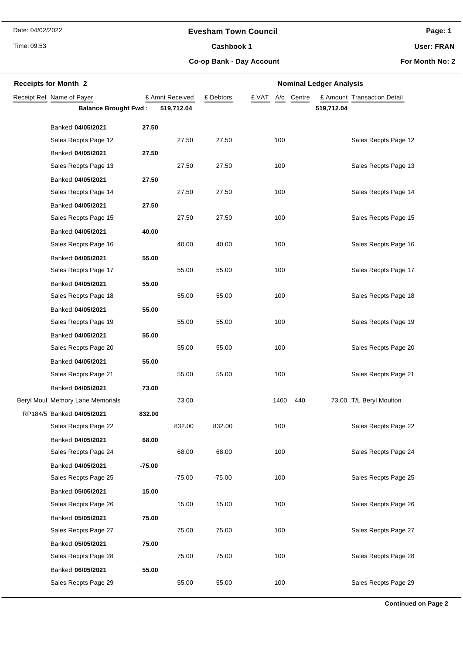# **Evesham Town Council**

Time: 09:53

# Cashbook 1

**Page: 1**

**User: FRAN**

**Co-op Bank - Day Account**

**For Month No: 2**

| <b>Receipts for Month 2</b>      |          |                 |           |                     | <b>Nominal Ledger Analysis</b> |
|----------------------------------|----------|-----------------|-----------|---------------------|--------------------------------|
| Receipt Ref Name of Payer        |          | £ Amnt Received | £ Debtors | £ VAT<br>A/c Centre | £ Amount Transaction Detail    |
| <b>Balance Brought Fwd:</b>      |          | 519,712.04      |           |                     | 519,712.04                     |
| Banked: 04/05/2021               | 27.50    |                 |           |                     |                                |
| Sales Recpts Page 12             |          | 27.50           | 27.50     | 100                 | Sales Recpts Page 12           |
| Banked: 04/05/2021               | 27.50    |                 |           |                     |                                |
| Sales Recpts Page 13             |          | 27.50           | 27.50     | 100                 | Sales Recpts Page 13           |
| Banked: 04/05/2021               | 27.50    |                 |           |                     |                                |
| Sales Recpts Page 14             |          | 27.50           | 27.50     | 100                 | Sales Recpts Page 14           |
| Banked: 04/05/2021               | 27.50    |                 |           |                     |                                |
| Sales Recpts Page 15             |          | 27.50           | 27.50     | 100                 | Sales Recpts Page 15           |
| Banked: 04/05/2021               | 40.00    |                 |           |                     |                                |
| Sales Recpts Page 16             |          | 40.00           | 40.00     | 100                 | Sales Recpts Page 16           |
| Banked: 04/05/2021               | 55.00    |                 |           |                     |                                |
| Sales Recpts Page 17             |          | 55.00           | 55.00     | 100                 | Sales Recpts Page 17           |
| Banked: 04/05/2021               | 55.00    |                 |           |                     |                                |
| Sales Recpts Page 18             |          | 55.00           | 55.00     | 100                 | Sales Recpts Page 18           |
| Banked: 04/05/2021               | 55.00    |                 |           |                     |                                |
| Sales Recpts Page 19             |          | 55.00           | 55.00     | 100                 | Sales Recpts Page 19           |
| Banked: 04/05/2021               | 55.00    |                 |           |                     |                                |
| Sales Recpts Page 20             |          | 55.00           | 55.00     | 100                 | Sales Recpts Page 20           |
| Banked: 04/05/2021               | 55.00    |                 |           |                     |                                |
| Sales Recpts Page 21             |          | 55.00           | 55.00     | 100                 | Sales Recpts Page 21           |
| Banked: 04/05/2021               | 73.00    |                 |           |                     |                                |
| Beryl Moul Memory Lane Memorials |          | 73.00           |           | 1400<br>440         | 73.00 T/L Beryl Moulton        |
| RP184/5 Banked: 04/05/2021       | 832.00   |                 |           |                     |                                |
| Sales Recpts Page 22             |          | 832.00          | 832.00    | 100                 | Sales Recpts Page 22           |
| Banked: 04/05/2021               | 68.00    |                 |           |                     |                                |
| Sales Recpts Page 24             |          | 68.00           | 68.00     | 100                 | Sales Recpts Page 24           |
| Banked: 04/05/2021               | $-75.00$ |                 |           |                     |                                |
| Sales Recpts Page 25             |          | $-75.00$        | $-75.00$  | 100                 | Sales Recpts Page 25           |
| Banked: 05/05/2021               | 15.00    |                 |           |                     |                                |
| Sales Recpts Page 26             |          | 15.00           | 15.00     | 100                 | Sales Recpts Page 26           |
| Banked: 05/05/2021               | 75.00    |                 |           |                     |                                |
| Sales Recpts Page 27             |          | 75.00           | 75.00     | 100                 | Sales Recpts Page 27           |
| Banked: 05/05/2021               | 75.00    |                 |           |                     |                                |
| Sales Recpts Page 28             |          | 75.00           | 75.00     | 100                 | Sales Recpts Page 28           |
| Banked: 06/05/2021               | 55.00    |                 |           |                     |                                |
| Sales Recpts Page 29             |          | 55.00           | 55.00     | 100                 | Sales Recpts Page 29           |

**Continued on Page 2**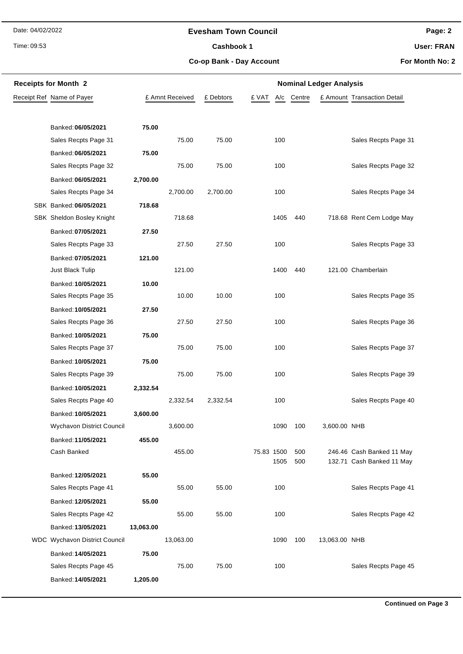Time: 09:53

# **Evesham Town Council**

Cashbook 1

**Page: 2**

**User: FRAN**

**Co-op Bank - Day Account**

**For Month No: 2**

| <b>Receipts for Month 2</b>   |           |                 |           | <b>Nominal Ledger Analysis</b> |      |            |               |                                                        |  |  |
|-------------------------------|-----------|-----------------|-----------|--------------------------------|------|------------|---------------|--------------------------------------------------------|--|--|
| Receipt Ref Name of Payer     |           | £ Amnt Received | £ Debtors | £ VAT                          | A/c  | Centre     |               | £ Amount Transaction Detail                            |  |  |
|                               |           |                 |           |                                |      |            |               |                                                        |  |  |
| Banked: 06/05/2021            | 75.00     |                 |           |                                |      |            |               |                                                        |  |  |
| Sales Recpts Page 31          |           | 75.00           | 75.00     |                                | 100  |            |               | Sales Recpts Page 31                                   |  |  |
| Banked: 06/05/2021            | 75.00     |                 |           |                                |      |            |               |                                                        |  |  |
| Sales Recpts Page 32          |           | 75.00           | 75.00     |                                | 100  |            |               | Sales Recpts Page 32                                   |  |  |
| Banked: 06/05/2021            | 2,700.00  |                 |           |                                |      |            |               |                                                        |  |  |
| Sales Recpts Page 34          |           | 2,700.00        | 2,700.00  |                                | 100  |            |               | Sales Recpts Page 34                                   |  |  |
| SBK Banked: 06/05/2021        | 718.68    |                 |           |                                |      |            |               |                                                        |  |  |
| SBK Sheldon Bosley Knight     |           | 718.68          |           |                                | 1405 | 440        |               | 718.68 Rent Cem Lodge May                              |  |  |
| Banked: 07/05/2021            | 27.50     |                 |           |                                |      |            |               |                                                        |  |  |
| Sales Recpts Page 33          |           | 27.50           | 27.50     |                                | 100  |            |               | Sales Recpts Page 33                                   |  |  |
| Banked: 07/05/2021            | 121.00    |                 |           |                                |      |            |               |                                                        |  |  |
| Just Black Tulip              |           | 121.00          |           |                                | 1400 | 440        |               | 121.00 Chamberlain                                     |  |  |
| Banked: 10/05/2021            | 10.00     |                 |           |                                |      |            |               |                                                        |  |  |
| Sales Recpts Page 35          |           | 10.00           | 10.00     |                                | 100  |            |               | Sales Recpts Page 35                                   |  |  |
| Banked: 10/05/2021            | 27.50     |                 |           |                                |      |            |               |                                                        |  |  |
| Sales Recpts Page 36          |           | 27.50           | 27.50     |                                | 100  |            |               | Sales Recpts Page 36                                   |  |  |
| Banked: 10/05/2021            | 75.00     |                 |           |                                |      |            |               |                                                        |  |  |
| Sales Recpts Page 37          |           | 75.00           | 75.00     |                                | 100  |            |               | Sales Recpts Page 37                                   |  |  |
| Banked: 10/05/2021            | 75.00     |                 |           |                                |      |            |               |                                                        |  |  |
| Sales Recpts Page 39          |           | 75.00           | 75.00     |                                | 100  |            |               | Sales Recpts Page 39                                   |  |  |
| Banked: 10/05/2021            | 2,332.54  |                 |           |                                |      |            |               |                                                        |  |  |
| Sales Recpts Page 40          |           | 2,332.54        | 2,332.54  |                                | 100  |            |               | Sales Recpts Page 40                                   |  |  |
| Banked: 10/05/2021            | 3,600.00  |                 |           |                                |      |            |               |                                                        |  |  |
| Wychavon District Council     |           | 3,600.00        |           |                                | 1090 | 100        | 3,600.00 NHB  |                                                        |  |  |
| Banked: 11/05/2021            | 455.00    |                 |           |                                |      |            |               |                                                        |  |  |
| Cash Banked                   |           | 455.00          |           | 75.83 1500                     | 1505 | 500<br>500 |               | 246.46 Cash Banked 11 May<br>132.71 Cash Banked 11 May |  |  |
| Banked: 12/05/2021            | 55.00     |                 |           |                                |      |            |               |                                                        |  |  |
| Sales Recpts Page 41          |           | 55.00           | 55.00     |                                | 100  |            |               | Sales Recpts Page 41                                   |  |  |
| Banked: 12/05/2021            | 55.00     |                 |           |                                |      |            |               |                                                        |  |  |
| Sales Recpts Page 42          |           | 55.00           | 55.00     |                                | 100  |            |               | Sales Recpts Page 42                                   |  |  |
| Banked: 13/05/2021            | 13,063.00 |                 |           |                                |      |            |               |                                                        |  |  |
| WDC Wychavon District Council |           | 13,063.00       |           |                                | 1090 | 100        | 13,063.00 NHB |                                                        |  |  |
| Banked: 14/05/2021            | 75.00     |                 |           |                                |      |            |               |                                                        |  |  |
| Sales Recpts Page 45          |           | 75.00           | 75.00     |                                | 100  |            |               | Sales Recpts Page 45                                   |  |  |
| Banked: 14/05/2021            | 1,205.00  |                 |           |                                |      |            |               |                                                        |  |  |
|                               |           |                 |           |                                |      |            |               |                                                        |  |  |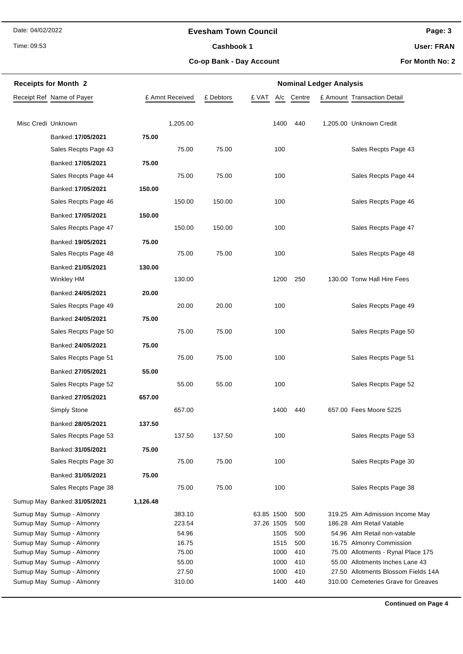Time: 09:53

# **Evesham Town Council**

Cashbook 1

**Page: 3**

**User: FRAN**

**Co-op Bank - Day Account**

**For Month No: 2**

|                    | <b>Receipts for Month 2</b>  | <b>Nominal Ledger Analysis</b> |                 |           |              |        |  |                                     |  |
|--------------------|------------------------------|--------------------------------|-----------------|-----------|--------------|--------|--|-------------------------------------|--|
|                    | Receipt Ref Name of Payer    |                                | £ Amnt Received | £ Debtors | £ VAT<br>A/c | Centre |  | £ Amount Transaction Detail         |  |
|                    |                              |                                |                 |           |              |        |  |                                     |  |
| Misc Credi Unknown |                              |                                | 1,205.00        |           | 1400         | 440    |  | 1,205.00 Unknown Credit             |  |
|                    | Banked: 17/05/2021           | 75.00                          |                 |           |              |        |  |                                     |  |
|                    | Sales Recpts Page 43         |                                | 75.00           | 75.00     | 100          |        |  | Sales Recpts Page 43                |  |
|                    | Banked: 17/05/2021           | 75.00                          |                 |           |              |        |  |                                     |  |
|                    | Sales Recpts Page 44         |                                | 75.00           | 75.00     | 100          |        |  | Sales Recpts Page 44                |  |
|                    | Banked: 17/05/2021           | 150.00                         |                 |           |              |        |  |                                     |  |
|                    | Sales Recpts Page 46         |                                | 150.00          | 150.00    | 100          |        |  | Sales Recpts Page 46                |  |
|                    | Banked: 17/05/2021           | 150.00                         |                 |           |              |        |  |                                     |  |
|                    | Sales Recpts Page 47         |                                | 150.00          | 150.00    | 100          |        |  | Sales Recpts Page 47                |  |
|                    | Banked: 19/05/2021           | 75.00                          |                 |           |              |        |  |                                     |  |
|                    | Sales Recpts Page 48         |                                | 75.00           | 75.00     | 100          |        |  | Sales Recpts Page 48                |  |
|                    | Banked: 21/05/2021           | 130.00                         |                 |           |              |        |  |                                     |  |
|                    | <b>Winkley HM</b>            |                                | 130.00          |           | 1200         | 250    |  | 130.00 Tonw Hall Hire Fees          |  |
|                    | Banked: 24/05/2021           | 20.00                          |                 |           |              |        |  |                                     |  |
|                    | Sales Recpts Page 49         |                                | 20.00           | 20.00     | 100          |        |  | Sales Recpts Page 49                |  |
|                    | Banked: 24/05/2021           | 75.00                          |                 |           |              |        |  |                                     |  |
|                    | Sales Recpts Page 50         |                                | 75.00           | 75.00     | 100          |        |  | Sales Recpts Page 50                |  |
|                    | Banked: 24/05/2021           | 75.00                          |                 |           |              |        |  |                                     |  |
|                    | Sales Recpts Page 51         |                                | 75.00           | 75.00     | 100          |        |  | Sales Recpts Page 51                |  |
|                    | Banked: 27/05/2021           | 55.00                          |                 |           |              |        |  |                                     |  |
|                    | Sales Recpts Page 52         |                                | 55.00           | 55.00     | 100          |        |  | Sales Recpts Page 52                |  |
|                    | Banked: 27/05/2021           | 657.00                         |                 |           |              |        |  |                                     |  |
|                    | <b>Simply Stone</b>          |                                | 657.00          |           | 1400         | 440    |  | 657.00 Fees Moore 5225              |  |
|                    | Banked: 28/05/2021           | 137.50                         |                 |           |              |        |  |                                     |  |
|                    | Sales Recpts Page 53         |                                | 137.50          | 137.50    | 100          |        |  | Sales Recpts Page 53                |  |
|                    | Banked: 31/05/2021           | 75.00                          |                 |           |              |        |  |                                     |  |
|                    | Sales Recpts Page 30         |                                | 75.00           | 75.00     | 100          |        |  | Sales Recpts Page 30                |  |
|                    | Banked: 31/05/2021           | 75.00                          |                 |           |              |        |  |                                     |  |
|                    | Sales Recpts Page 38         |                                | 75.00           | 75.00     | 100          |        |  | Sales Recpts Page 38                |  |
|                    | Sumup May Banked: 31/05/2021 | 1,126.48                       |                 |           |              |        |  |                                     |  |
|                    | Sumup May Sumup - Almonry    |                                | 383.10          |           | 63.85 1500   | 500    |  | 319.25 Alm Admission Income May     |  |
|                    | Sumup May Sumup - Almonry    |                                | 223.54          |           | 37.26 1505   | 500    |  | 186.28 Alm Retail Vatable           |  |
|                    | Sumup May Sumup - Almonry    |                                | 54.96           |           | 1505         | 500    |  | 54.96 Alm Retail non-vatable        |  |
|                    | Sumup May Sumup - Almonry    |                                | 16.75           |           | 1515         | 500    |  | 16.75 Almonry Commission            |  |
|                    | Sumup May Sumup - Almonry    |                                | 75.00           |           | 1000         | 410    |  | 75.00 Allotments - Rynal Place 175  |  |
|                    | Sumup May Sumup - Almonry    |                                | 55.00           |           | 1000         | 410    |  | 55.00 Allotments Inches Lane 43     |  |
|                    | Sumup May Sumup - Almonry    |                                | 27.50           |           | 1000         | 410    |  | 27.50 Allotments Blossom Fields 14A |  |
|                    | Sumup May Sumup - Almonry    |                                | 310.00          |           | 1400         | 440    |  | 310.00 Cemeteries Grave for Greaves |  |

**Continued on Page 4**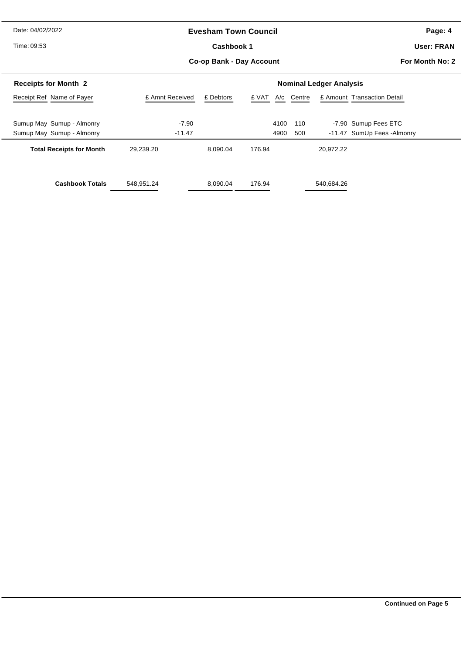# **Evesham Town Council**

Time: 09:53

# **Co-op Bank - Day Account** Cashbook 1

**Page: 4**

**User: FRAN**

**For Month No: 2**

| <b>Receipts for Month 2</b>     |                 | <b>Nominal Ledger Analysis</b> |        |            |            |                             |  |  |  |
|---------------------------------|-----------------|--------------------------------|--------|------------|------------|-----------------------------|--|--|--|
| Receipt Ref Name of Payer       | £ Amnt Received | £ Debtors                      | £ VAT  | A/c Centre |            | £ Amount Transaction Detail |  |  |  |
|                                 |                 |                                |        |            |            |                             |  |  |  |
| Sumup May Sumup - Almonry       | $-7.90$         |                                | 4100   | 110        |            | -7.90 Sumup Fees ETC        |  |  |  |
| Sumup May Sumup - Almonry       | $-11.47$        |                                | 4900   | 500        |            | -11.47 SumUp Fees -Almonry  |  |  |  |
| <b>Total Receipts for Month</b> | 29,239.20       | 8.090.04                       | 176.94 |            | 20.972.22  |                             |  |  |  |
| <b>Cashbook Totals</b>          | 548,951.24      | 8,090.04                       | 176.94 |            | 540,684.26 |                             |  |  |  |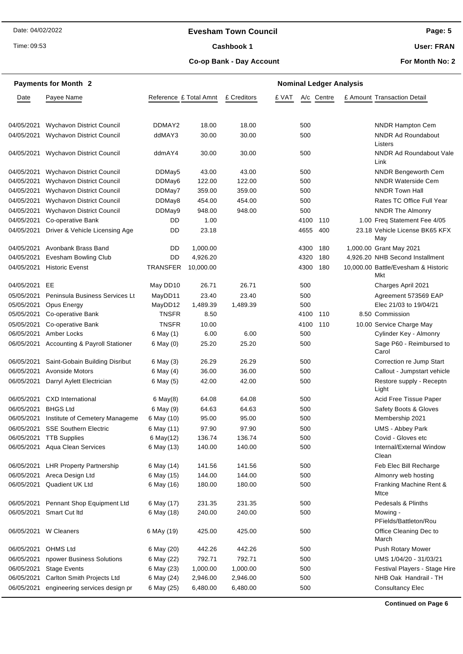# **Evesham Town Council**

Time: 09:53

# Cashbook 1

**User: FRAN**

# **Co-op Bank - Day Account**

**For Month No: 2**

|            | <b>Payments for Month 2</b>               | <b>Nominal Ledger Analysis</b> |           |             |       |      |            |  |                                            |
|------------|-------------------------------------------|--------------------------------|-----------|-------------|-------|------|------------|--|--------------------------------------------|
| Date       | Payee Name                                | Reference £ Total Amnt         |           | £ Creditors | £ VAT |      | A/c Centre |  | £ Amount Transaction Detail                |
| 04/05/2021 | <b>Wychavon District Council</b>          | DDMAY2                         | 18.00     | 18.00       |       | 500  |            |  | <b>NNDR Hampton Cem</b>                    |
| 04/05/2021 | <b>Wychavon District Council</b>          | ddMAY3                         | 30.00     | 30.00       |       | 500  |            |  | <b>NNDR Ad Roundabout</b>                  |
| 04/05/2021 | Wychavon District Council                 | ddmAY4                         | 30.00     | 30.00       |       | 500  |            |  | Listers<br>NNDR Ad Roundabout Vale<br>Link |
| 04/05/2021 | <b>Wychavon District Council</b>          | DDMay5                         | 43.00     | 43.00       |       | 500  |            |  | <b>NNDR Bengeworth Cem</b>                 |
| 04/05/2021 | <b>Wychavon District Council</b>          | DDMay6                         | 122.00    | 122.00      |       | 500  |            |  | <b>NNDR Waterside Cem</b>                  |
| 04/05/2021 | Wychavon District Council                 | DDMay7                         | 359.00    | 359.00      |       | 500  |            |  | <b>NNDR Town Hall</b>                      |
| 04/05/2021 | <b>Wychavon District Council</b>          | DDMay8                         | 454.00    | 454.00      |       | 500  |            |  | Rates TC Office Full Year                  |
| 04/05/2021 | <b>Wychavon District Council</b>          | DDMay9                         | 948.00    | 948.00      |       | 500  |            |  | <b>NNDR The Almonry</b>                    |
| 04/05/2021 | Co-operative Bank                         | DD                             | 1.00      |             |       | 4100 | 110        |  | 1.00 Freq Statement Fee 4/05               |
| 04/05/2021 | Driver & Vehicle Licensing Age            | DD                             | 23.18     |             |       | 4655 | 400        |  | 23.18 Vehicle License BK65 KFX<br>May      |
| 04/05/2021 | Avonbank Brass Band                       | DD                             | 1,000.00  |             |       | 4300 | 180        |  | 1,000.00 Grant May 2021                    |
| 04/05/2021 | Evesham Bowling Club                      | DD                             | 4,926.20  |             |       | 4320 | 180        |  | 4,926.20 NHB Second Installment            |
| 04/05/2021 | <b>Historic Evenst</b>                    | <b>TRANSFER</b>                | 10,000.00 |             |       | 4300 | 180        |  | 10,000.00 Battle/Evesham & Historic<br>Mkt |
| 04/05/2021 | EE                                        | May DD10                       | 26.71     | 26.71       |       | 500  |            |  | Charges April 2021                         |
| 05/05/2021 | <b>Peninsula Business Services Lt</b>     | MayDD11                        | 23.40     | 23.40       |       | 500  |            |  | Agreement 573569 EAP                       |
| 05/05/2021 | Opus Energy                               | MayDD12                        | 1,489.39  | 1,489.39    |       | 500  |            |  | Elec 21/03 to 19/04/21                     |
| 05/05/2021 | Co-operative Bank                         | <b>TNSFR</b>                   | 8.50      |             |       | 4100 | 110        |  | 8.50 Commission                            |
| 05/05/2021 | Co-operative Bank                         | <b>TNSFR</b>                   | 10.00     |             |       | 4100 | 110        |  | 10.00 Service Charge May                   |
| 06/05/2021 | Amber Locks                               | 6 May (1)                      | 6.00      | 6.00        |       | 500  |            |  | Cylinder Key - Almonry                     |
| 06/05/2021 | <b>Accounting &amp; Payroll Stationer</b> | 6 May (0)                      | 25.20     | 25.20       |       | 500  |            |  | Sage P60 - Reimbursed to<br>Carol          |
| 06/05/2021 | Saint-Gobain Building Disribut            | 6 May (3)                      | 26.29     | 26.29       |       | 500  |            |  | Correction re Jump Start                   |
| 06/05/2021 | <b>Avonside Motors</b>                    | 6 May (4)                      | 36.00     | 36.00       |       | 500  |            |  | Callout - Jumpstart vehicle                |
| 06/05/2021 | Darryl Aylett Electrician                 | 6 May (5)                      | 42.00     | 42.00       |       | 500  |            |  | Restore supply - Receptn<br>Light          |
| 06/05/2021 | <b>CXD</b> International                  | $6$ May $(8)$                  | 64.08     | 64.08       |       | 500  |            |  | Acid Free Tissue Paper                     |
| 06/05/2021 | <b>BHGS Ltd</b>                           | 6 May (9)                      | 64.63     | 64.63       |       | 500  |            |  | Safety Boots & Gloves                      |
| 06/05/2021 | Institute of Cemetery Manageme            | 6 May (10)                     | 95.00     | 95.00       |       | 500  |            |  | Membership 2021                            |
| 06/05/2021 | <b>SSE Southern Electric</b>              | 6 May (11)                     | 97.90     | 97.90       |       | 500  |            |  | <b>UMS - Abbey Park</b>                    |
| 06/05/2021 | <b>TTB Supplies</b>                       | 6 May(12)                      | 136.74    | 136.74      |       | 500  |            |  | Covid - Gloves etc                         |
| 06/05/2021 | Aqua Clean Services                       | 6 May (13)                     | 140.00    | 140.00      |       | 500  |            |  | Internal/External Window<br>Clean          |
| 06/05/2021 | <b>LHR Property Partnership</b>           | 6 May (14)                     | 141.56    | 141.56      |       | 500  |            |  | Feb Elec Bill Recharge                     |
| 06/05/2021 | Areca Design Ltd                          | 6 May (15)                     | 144.00    | 144.00      |       | 500  |            |  | Almonry web hosting                        |
| 06/05/2021 | Quadient UK Ltd                           | 6 May (16)                     | 180.00    | 180.00      |       | 500  |            |  | Franking Machine Rent &<br>Mtce            |
| 06/05/2021 | Pennant Shop Equipment Ltd                | 6 May (17)                     | 231.35    | 231.35      |       | 500  |            |  | Pedesals & Plinths                         |
| 06/05/2021 | Smart Cut Itd                             | 6 May (18)                     | 240.00    | 240.00      |       | 500  |            |  | Mowing -<br>PFields/Battleton/Rou          |
|            | 06/05/2021 W Cleaners                     | 6 MAy (19)                     | 425.00    | 425.00      |       | 500  |            |  | Office Cleaning Dec to<br>March            |
| 06/05/2021 | <b>OHMS Ltd</b>                           | 6 May (20)                     | 442.26    | 442.26      |       | 500  |            |  | Push Rotary Mower                          |
| 06/05/2021 | npower Business Solutions                 | 6 May (22)                     | 792.71    | 792.71      |       | 500  |            |  | UMS 1/04/20 - 31/03/21                     |
| 06/05/2021 | <b>Stage Events</b>                       | 6 May (23)                     | 1,000.00  | 1,000.00    |       | 500  |            |  | Festival Players - Stage Hire              |
| 06/05/2021 | Carlton Smith Projects Ltd                | 6 May (24)                     | 2,946.00  | 2,946.00    |       | 500  |            |  | NHB Oak Handrail - TH                      |
| 06/05/2021 | engineering services design pr            | 6 May (25)                     | 6,480.00  | 6,480.00    |       | 500  |            |  | <b>Consultancy Elec</b>                    |

**Continued on Page 6**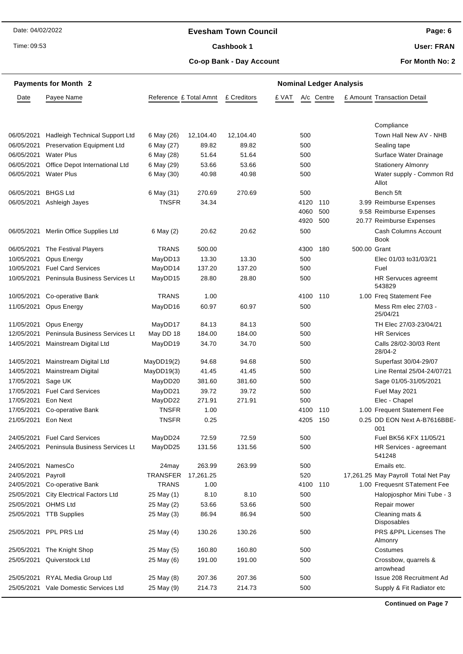# **Evesham Town Council**

Time: 09:53

# Cashbook 1

**Co-op Bank - Day Account**

**User: FRAN**

**For Month No: 2**

|            | <b>Payments for Month 2</b>        | <b>Nominal Ledger Analysis</b> |           |             |       |      |            |              |                                     |
|------------|------------------------------------|--------------------------------|-----------|-------------|-------|------|------------|--------------|-------------------------------------|
| Date       | Payee Name                         | Reference £ Total Amnt         |           | £ Creditors | £ VAT |      | A/c Centre |              | £ Amount Transaction Detail         |
|            |                                    |                                |           |             |       |      |            |              |                                     |
|            |                                    |                                |           |             |       |      |            |              | Compliance                          |
| 06/05/2021 | Hadleigh Technical Support Ltd     | 6 May (26)                     | 12,104.40 | 12,104.40   |       | 500  |            |              | Town Hall New AV - NHB              |
| 06/05/2021 | <b>Preservation Equipment Ltd</b>  | 6 May (27)                     | 89.82     | 89.82       |       | 500  |            |              | Sealing tape                        |
| 06/05/2021 | <b>Water Plus</b>                  | 6 May (28)                     | 51.64     | 51.64       |       | 500  |            |              | Surface Water Drainage              |
| 06/05/2021 | Office Depot International Ltd     | 6 May (29)                     | 53.66     | 53.66       |       | 500  |            |              | <b>Stationery Almonry</b>           |
| 06/05/2021 | <b>Water Plus</b>                  | 6 May (30)                     | 40.98     | 40.98       |       | 500  |            |              | Water supply - Common Rd<br>Allot   |
| 06/05/2021 | <b>BHGS Ltd</b>                    | 6 May (31)                     | 270.69    | 270.69      |       | 500  |            |              | Bench 5ft                           |
| 06/05/2021 | Ashleigh Jayes                     | <b>TNSFR</b>                   | 34.34     |             |       | 4120 | 110        |              | 3.99 Reimburse Expenses             |
|            |                                    |                                |           |             |       | 4060 | 500        |              | 9.58 Reimburse Expenses             |
|            |                                    |                                |           |             |       | 4920 | 500        |              | 20.77 Reimburse Expenses            |
| 06/05/2021 | Merlin Office Supplies Ltd         | 6 May (2)                      | 20.62     | 20.62       |       | 500  |            |              | Cash Columns Account<br><b>Book</b> |
| 06/05/2021 | The Festival Players               | <b>TRANS</b>                   | 500.00    |             |       | 4300 | 180        | 500.00 Grant |                                     |
| 10/05/2021 | Opus Energy                        | MayDD13                        | 13.30     | 13.30       |       | 500  |            |              | Elec 01/03 to 31/03/21              |
| 10/05/2021 | <b>Fuel Card Services</b>          | MayDD14                        | 137.20    | 137.20      |       | 500  |            |              | Fuel                                |
| 10/05/2021 | Peninsula Business Services Lt     | MayDD15                        | 28.80     | 28.80       |       | 500  |            |              | HR Servuces agreemt<br>543829       |
| 10/05/2021 | Co-operative Bank                  | <b>TRANS</b>                   | 1.00      |             |       | 4100 | 110        |              | 1.00 Freq Statement Fee             |
| 11/05/2021 | Opus Energy                        | MayDD16                        | 60.97     | 60.97       |       | 500  |            |              | Mess Rm elec 27/03 -<br>25/04/21    |
| 11/05/2021 | Opus Energy                        | MayDD17                        | 84.13     | 84.13       |       | 500  |            |              | TH Elec 27/03-23/04/21              |
| 12/05/2021 | Peninsula Business Services Lt     | May DD 18                      | 184.00    | 184.00      |       | 500  |            |              | <b>HR Services</b>                  |
| 14/05/2021 | Mainstream Digital Ltd             | MayDD19                        | 34.70     | 34.70       |       | 500  |            |              | Calls 28/02-30/03 Rent<br>28/04-2   |
| 14/05/2021 | Mainstream Digital Ltd             | MayDD19(2)                     | 94.68     | 94.68       |       | 500  |            |              | Superfast 30/04-29/07               |
| 14/05/2021 | <b>Mainstream Digital</b>          | MayDD19(3)                     | 41.45     | 41.45       |       | 500  |            |              | Line Rental 25/04-24/07/21          |
| 17/05/2021 | Sage UK                            | MayDD20                        | 381.60    | 381.60      |       | 500  |            |              | Sage 01/05-31/05/2021               |
| 17/05/2021 | <b>Fuel Card Services</b>          | MayDD21                        | 39.72     | 39.72       |       | 500  |            |              | Fuel May 2021                       |
| 17/05/2021 | Eon Next                           | MayDD22                        | 271.91    | 271.91      |       | 500  |            |              | Elec - Chapel                       |
| 17/05/2021 | Co-operative Bank                  | <b>TNSFR</b>                   | 1.00      |             |       | 4100 | 110        |              | 1.00 Frequent Statement Fee         |
| 21/05/2021 | Eon Next                           | <b>TNSFR</b>                   | 0.25      |             |       | 4205 | 150        |              | 0.25 DD EON Next A-B7616BBE-<br>001 |
| 24/05/2021 | <b>Fuel Card Services</b>          | MayDD24                        | 72.59     | 72.59       |       | 500  |            |              | Fuel BK56 KFX 11/05/21              |
| 24/05/2021 | Peninsula Business Services Lt     | MayDD25                        | 131.56    | 131.56      |       | 500  |            |              | HR Services - agreemant<br>541248   |
| 24/05/2021 | NamesCo                            | 24may                          | 263.99    | 263.99      |       | 500  |            |              | Emails etc.                         |
| 24/05/2021 | Payroll                            | <b>TRANSFER</b>                | 17,261.25 |             |       | 520  |            |              | 17,261.25 May Payroll Total Net Pay |
| 24/05/2021 | Co-operative Bank                  | <b>TRANS</b>                   | 1.00      |             |       | 4100 | 110        |              | 1.00 Frequesnt STatement Fee        |
| 25/05/2021 | <b>City Electrical Factors Ltd</b> | 25 May (1)                     | 8.10      | 8.10        |       | 500  |            |              | Halopjosphor Mini Tube - 3          |
| 25/05/2021 | <b>OHMS Ltd</b>                    | 25 May (2)                     | 53.66     | 53.66       |       | 500  |            |              | Repair mower                        |
| 25/05/2021 | <b>TTB Supplies</b>                | 25 May (3)                     | 86.94     | 86.94       |       | 500  |            |              | Cleaning mats &<br>Disposables      |
| 25/05/2021 | PPL PRS Ltd                        | 25 May (4)                     | 130.26    | 130.26      |       | 500  |            |              | PRS &PPL Licenses The<br>Almonry    |
| 25/05/2021 | The Knight Shop                    | 25 May (5)                     | 160.80    | 160.80      |       | 500  |            |              | Costumes                            |
| 25/05/2021 | Quiverstock Ltd                    | 25 May (6)                     | 191.00    | 191.00      |       | 500  |            |              | Crossbow, quarrels &<br>arrowhead   |
| 25/05/2021 | RYAL Media Group Ltd               | 25 May (8)                     | 207.36    | 207.36      |       | 500  |            |              | Issue 208 Recruitment Ad            |
| 25/05/2021 | Vale Domestic Services Ltd         | 25 May (9)                     | 214.73    | 214.73      |       | 500  |            |              | Supply & Fit Radiator etc           |
|            |                                    |                                |           |             |       |      |            |              |                                     |

**Continued on Page 7**

**Page: 6**